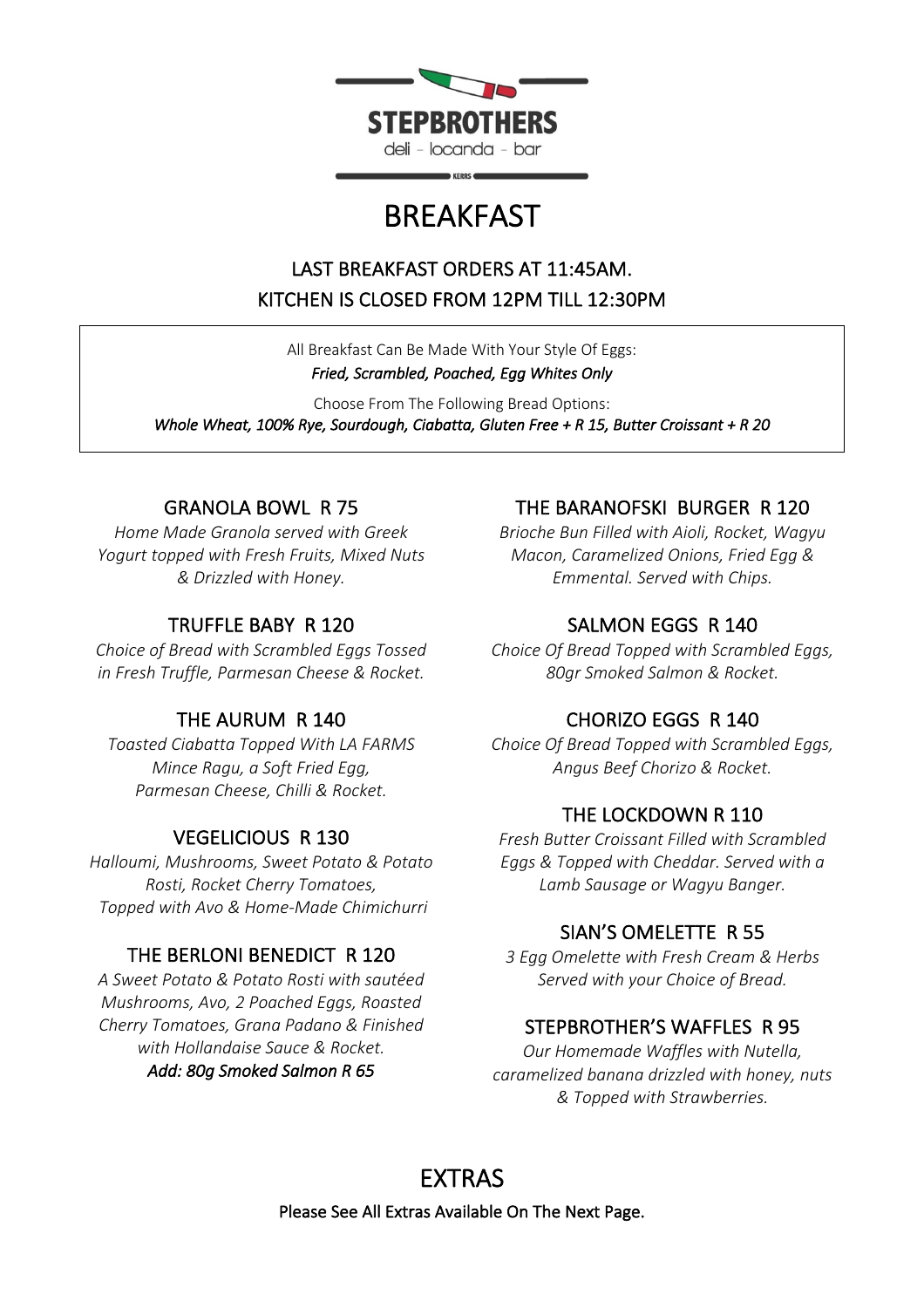

# BREAKFAST

# LAST BREAKFAST ORDERS AT 11:45AM. KITCHEN IS CLOSED FROM 12PM TILL 12:30PM

All Breakfast Can Be Made With Your Style Of Eggs: *Fried, Scrambled, Poached, Egg Whites Only* 

Choose From The Following Bread Options: *Whole Wheat, 100% Rye, Sourdough, Ciabatta, Gluten Free + R 15, Butter Croissant + R 20* 

## GRANOLA BOWL R 75

*Home Made Granola served with Greek Yogurt topped with Fresh Fruits, Mixed Nuts & Drizzled with Honey.*

### TRUFFLE BABY R 120

*Choice of Bread with Scrambled Eggs Tossed in Fresh Truffle, Parmesan Cheese & Rocket.*

## THE AURUM R 140

*Toasted Ciabatta Topped With LA FARMS Mince Ragu, a Soft Fried Egg, Parmesan Cheese, Chilli & Rocket.*

## VEGELICIOUS R 130

*Halloumi, Mushrooms, Sweet Potato & Potato Rosti, Rocket Cherry Tomatoes, Topped with Avo & Home-Made Chimichurri*

## THE BERLONI BENEDICT R 120

*A Sweet Potato & Potato Rosti with sautéed Mushrooms, Avo, 2 Poached Eggs, Roasted Cherry Tomatoes, Grana Padano & Finished with Hollandaise Sauce & Rocket. Add: 80g Smoked Salmon R 65* 

## THE BARANOFSKI BURGER R 120

*Brioche Bun Filled with Aioli, Rocket, Wagyu Macon, Caramelized Onions, Fried Egg & Emmental. Served with Chips.*

## SALMON EGGS R 140

*Choice Of Bread Topped with Scrambled Eggs, 80gr Smoked Salmon & Rocket.*

# CHORIZO EGGS R 140

*Choice Of Bread Topped with Scrambled Eggs, Angus Beef Chorizo & Rocket.*

## THE LOCKDOWN R 110

*Fresh Butter Croissant Filled with Scrambled Eggs & Topped with Cheddar. Served with a Lamb Sausage or Wagyu Banger.*

## SIAN'S OMELETTE R 55

*3 Egg Omelette with Fresh Cream & Herbs Served with your Choice of Bread.*

## STEPBROTHER'S WAFFLES R 95

*Our Homemade Waffles with Nutella, caramelized banana drizzled with honey, nuts & Topped with Strawberries.*

# EXTRAS

Please See All Extras Available On The Next Page.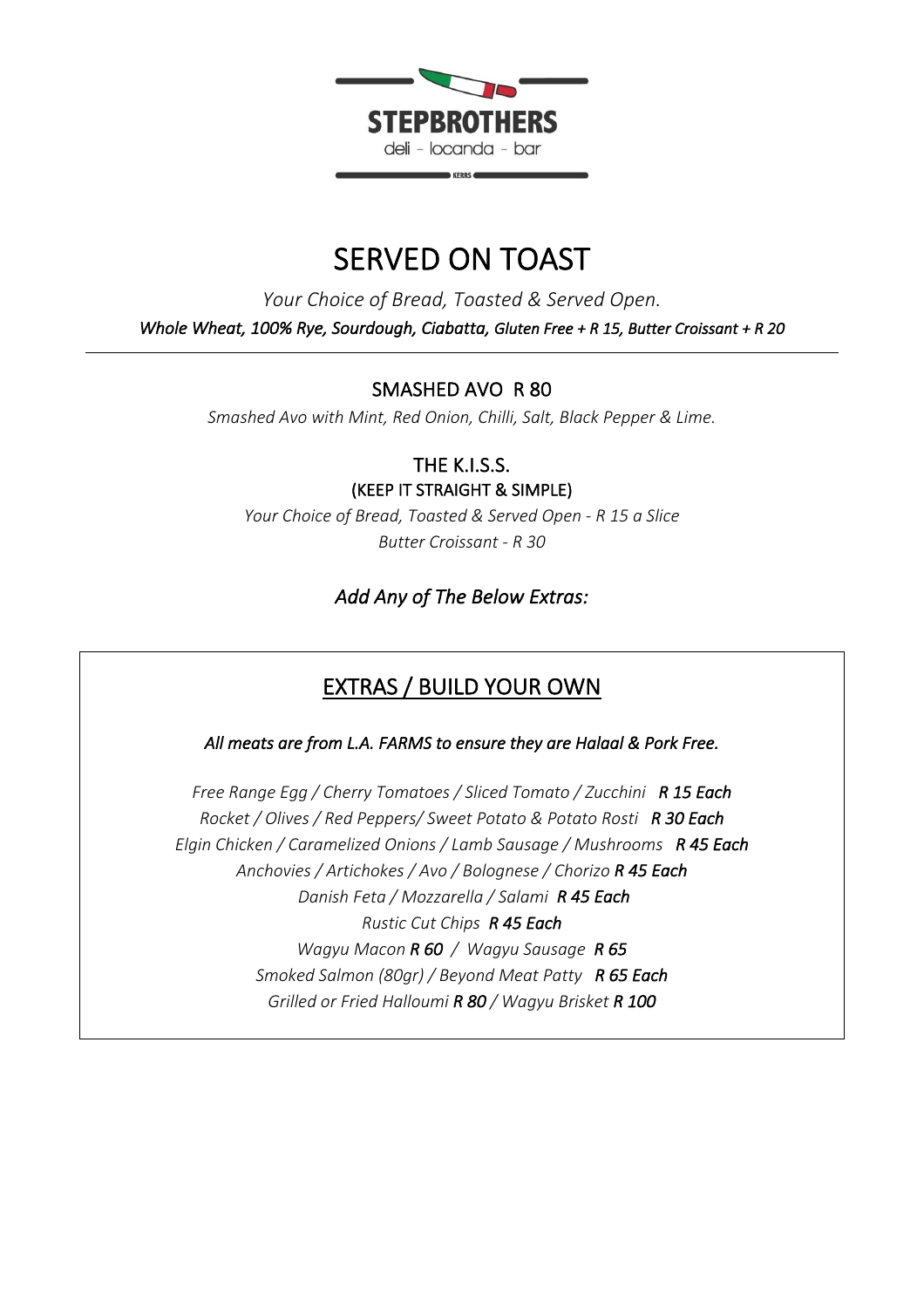

# SERVED ON TOAST

*Your Choice of Bread, Toasted & Served Open. Whole Wheat, 100% Rye, Sourdough, Ciabatta, Gluten Free + R 15, Butter Croissant + R 20* 

### SMASHED AVO R 80

*Smashed Avo with Mint, Red Onion, Chilli, Salt, Black Pepper & Lime.*

THE K.I.S.S. (KEEP IT STRAIGHT & SIMPLE)

*Your Choice of Bread, Toasted & Served Open - R 15 a Slice Butter Croissant - R 30*

### *Add Any of The Below Extras:*

# EXTRAS / BUILD YOUR OWN

*All meats are from L.A. FARMS to ensure they are Halaal & Pork Free.* 

*Free Range Egg / Cherry Tomatoes / Sliced Tomato / Zucchini R 15 Each Rocket / Olives / Red Peppers/ Sweet Potato & Potato Rosti R 30 Each Elgin Chicken / Caramelized Onions / Lamb Sausage / Mushrooms R 45 Each Anchovies / Artichokes / Avo / Bolognese / Chorizo R 45 Each Danish Feta / Mozzarella / Salami R 45 Each Rustic Cut Chips R 45 Each Wagyu Macon R 60 / Wagyu Sausage R 65 Smoked Salmon (80gr) / Beyond Meat Patty R 65 Each Grilled or Fried Halloumi R 80 / Wagyu Brisket R 100*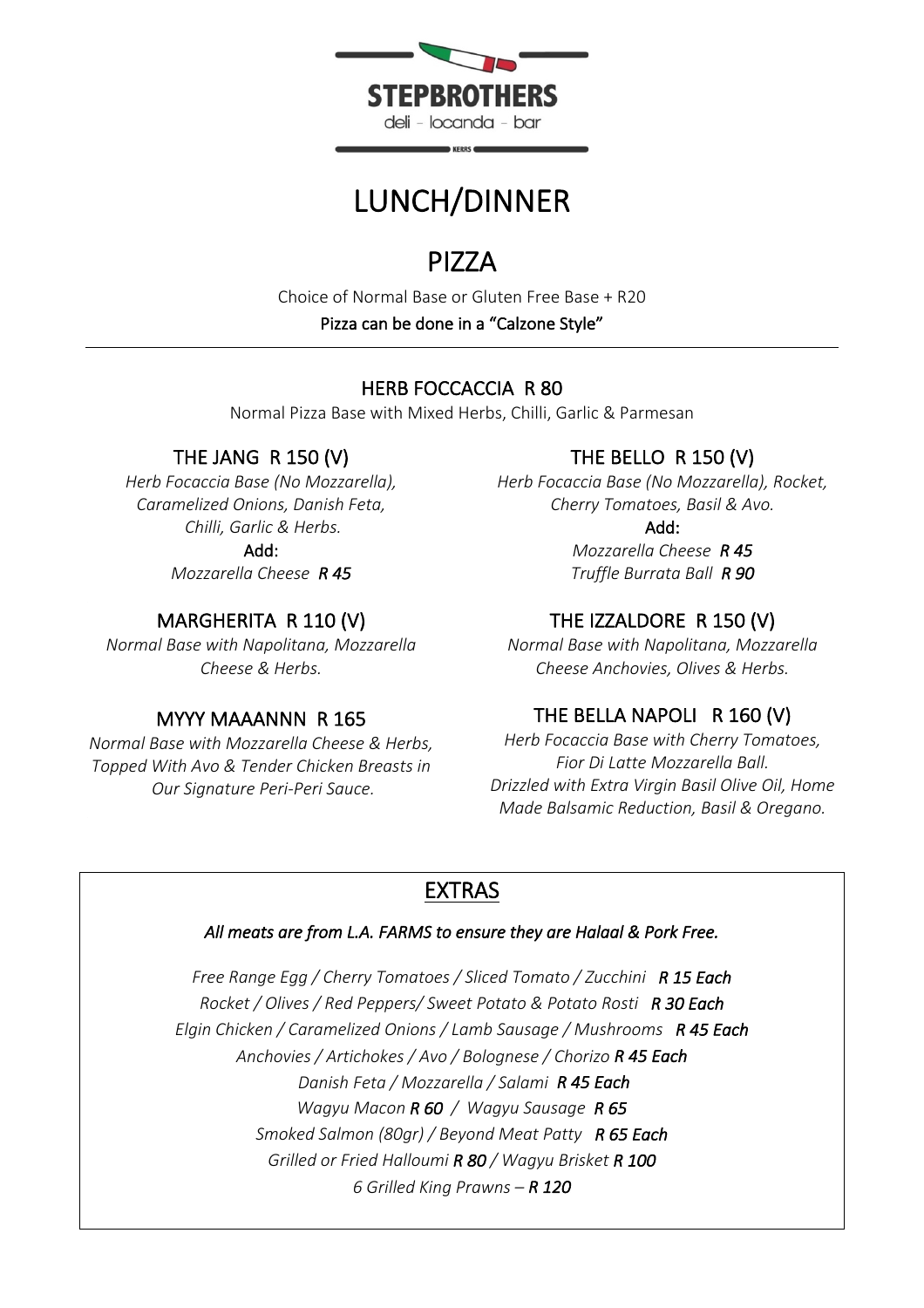

# LUNCH/DINNER

**PIZZA**<br>Choice of Normal Base or Gluten Free Base + R20 Pizza can be done in a "Calzone Style"

# HERB FOCCACCIA R 80

Normal Pizza Base with Mixed Herbs, Chilli, Garlic & Parmesan

# THE JANG R 150 (V)

*Herb Focaccia Base (No Mozzarella), Caramelized Onions, Danish Feta, Chilli, Garlic & Herbs.* Add:

*Mozzarella Cheese R 45*

# MARGHERITA R 110 (V)

*Normal Base with Napolitana, Mozzarella Cheese & Herbs.*

## MYYY MAAANNN R 165

*Normal Base with Mozzarella Cheese & Herbs, Topped With Avo & Tender Chicken Breasts in Our Signature Peri-Peri Sauce.*

# THE BELLO R 150 (V)

*Herb Focaccia Base (No Mozzarella), Rocket, Cherry Tomatoes, Basil & Avo.*

Add:

*Mozzarella Cheese R 45 Truffle Burrata Ball R 90* 

# THE IZZALDORE R 150 (V)

*Normal Base with Napolitana, Mozzarella Cheese Anchovies, Olives & Herbs.*

# THE BELLA NAPOLI R 160 (V)

*Herb Focaccia Base with Cherry Tomatoes, Fior Di Latte Mozzarella Ball. Drizzled with Extra Virgin Basil Olive Oil, Home Made Balsamic Reduction, Basil & Oregano.* 

# EXTRAS

### *All meats are from L.A. FARMS to ensure they are Halaal & Pork Free.*

*Free Range Egg / Cherry Tomatoes / Sliced Tomato / Zucchini R 15 Each Rocket / Olives / Red Peppers/ Sweet Potato & Potato Rosti R 30 Each Elgin Chicken / Caramelized Onions / Lamb Sausage / Mushrooms R 45 Each Anchovies / Artichokes / Avo / Bolognese / Chorizo R 45 Each Danish Feta / Mozzarella / Salami R 45 Each Wagyu Macon R 60 / Wagyu Sausage R 65 Smoked Salmon (80gr) / Beyond Meat Patty R 65 Each Grilled or Fried Halloumi R 80 / Wagyu Brisket R 100 6 Grilled King Prawns – R 120*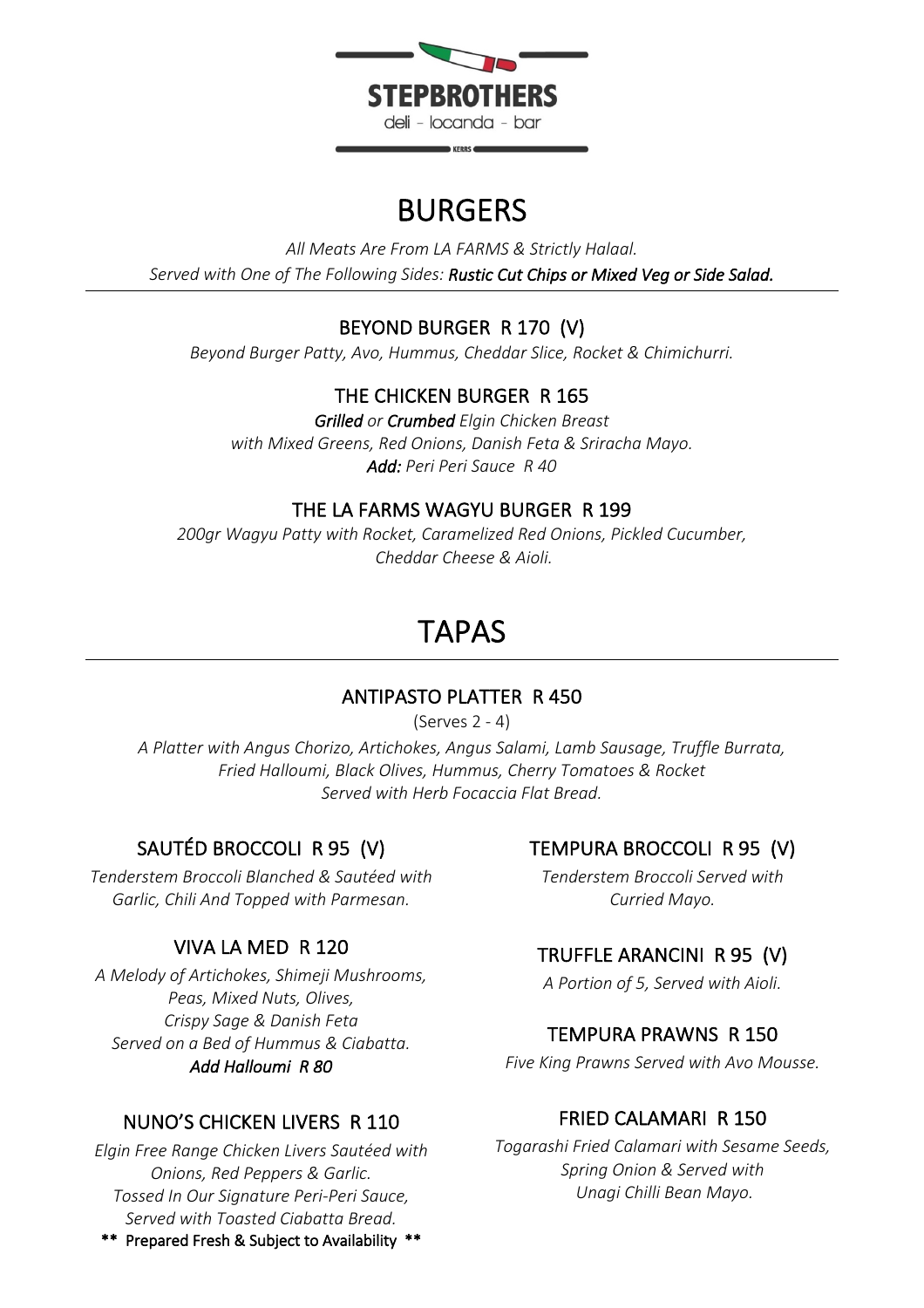

# BURGERS

*All Meats Are From LA FARMS & Strictly Halaal. Served with One of The Following Sides: Rustic Cut Chips or Mixed Veg or Side Salad.*

# BEYOND BURGER R 170 (V)

*Beyond Burger Patty, Avo, Hummus, Cheddar Slice, Rocket & Chimichurri.* 

# THE CHICKEN BURGER R 165

*Grilled or Crumbed Elgin Chicken Breast with Mixed Greens, Red Onions, Danish Feta & Sriracha Mayo. Add: Peri Peri Sauce R 40*

# THE LA FARMS WAGYU BURGER R 199

*200gr Wagyu Patty with Rocket, Caramelized Red Onions, Pickled Cucumber, Cheddar Cheese & Aioli.* 

# TAPAS

# ANTIPASTO PLATTER R 450

(Serves 2 - 4)

*A Platter with Angus Chorizo, Artichokes, Angus Salami, Lamb Sausage, Truffle Burrata, Fried Halloumi, Black Olives, Hummus, Cherry Tomatoes & Rocket Served with Herb Focaccia Flat Bread.*

# SAUTÉD BROCCOLI R 95 (V)

*Tenderstem Broccoli Blanched & Sautéed with Garlic, Chili And Topped with Parmesan.*

# VIVA LA MED R 120

*A Melody of Artichokes, Shimeji Mushrooms, Peas, Mixed Nuts, Olives, Crispy Sage & Danish Feta Served on a Bed of Hummus & Ciabatta. Add Halloumi R 80* 

# NUNO'S CHICKEN LIVERS R 110

*Elgin Free Range Chicken Livers Sautéed with Onions, Red Peppers & Garlic. Tossed In Our Signature Peri-Peri Sauce, Served with Toasted Ciabatta Bread.*

\*\* Prepared Fresh & Subject to Availability \*\*

# TEMPURA BROCCOLI R 95 (V)

*Tenderstem Broccoli Served with Curried Mayo.*

# TRUFFLE ARANCINI R 95 (V)

*A Portion of 5, Served with Aioli.* 

# TEMPURA PRAWNS R 150

*Five King Prawns Served with Avo Mousse.*

# FRIED CALAMARI R 150

*Togarashi Fried Calamari with Sesame Seeds, Spring Onion & Served with Unagi Chilli Bean Mayo.*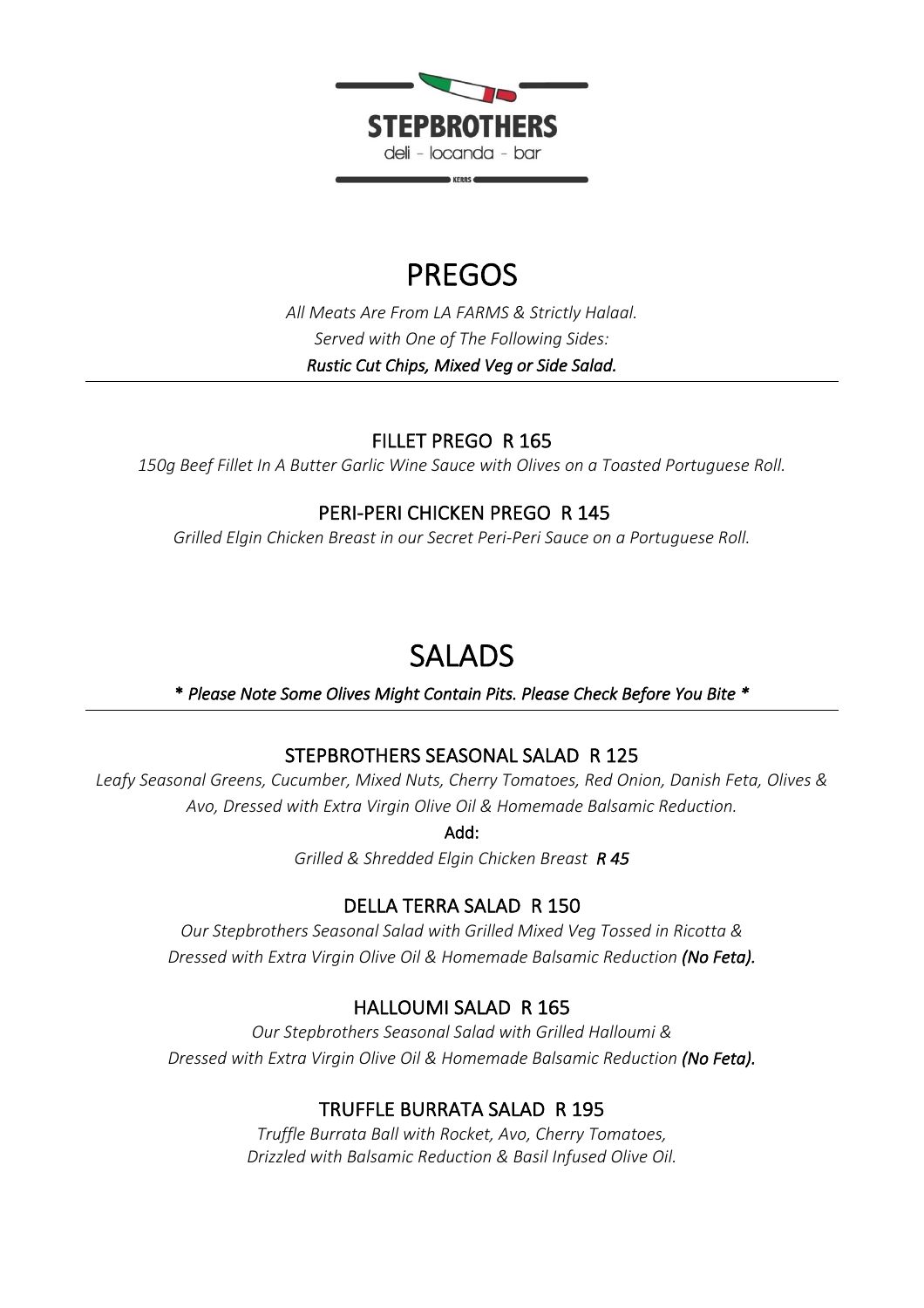

# PREGOS

*All Meats Are From LA FARMS & Strictly Halaal. Served with One of The Following Sides: Rustic Cut Chips, Mixed Veg or Side Salad.*

# FILLET PREGO R 165

*150g Beef Fillet In A Butter Garlic Wine Sauce with Olives on a Toasted Portuguese Roll.*

## PERI-PERI CHICKEN PREGO R 145

*Grilled Elgin Chicken Breast in our Secret Peri-Peri Sauce on a Portuguese Roll.*

SALADS \* *Please Note Some Olives Might Contain Pits. Please Check Before You Bite \** 

# STEPBROTHERS SEASONAL SALAD R 125

*Leafy Seasonal Greens, Cucumber, Mixed Nuts, Cherry Tomatoes, Red Onion, Danish Feta, Olives & Avo, Dressed with Extra Virgin Olive Oil & Homemade Balsamic Reduction.*

Add:

*Grilled & Shredded Elgin Chicken Breast R 45* 

# DELLA TERRA SALAD R 150

*Our Stepbrothers Seasonal Salad with Grilled Mixed Veg Tossed in Ricotta & Dressed with Extra Virgin Olive Oil & Homemade Balsamic Reduction (No Feta).*

# HALLOUMI SALAD R 165

*Our Stepbrothers Seasonal Salad with Grilled Halloumi & Dressed with Extra Virgin Olive Oil & Homemade Balsamic Reduction (No Feta).*

# TRUFFLE BURRATA SALAD R 195

*Truffle Burrata Ball with Rocket, Avo, Cherry Tomatoes, Drizzled with Balsamic Reduction & Basil Infused Olive Oil.*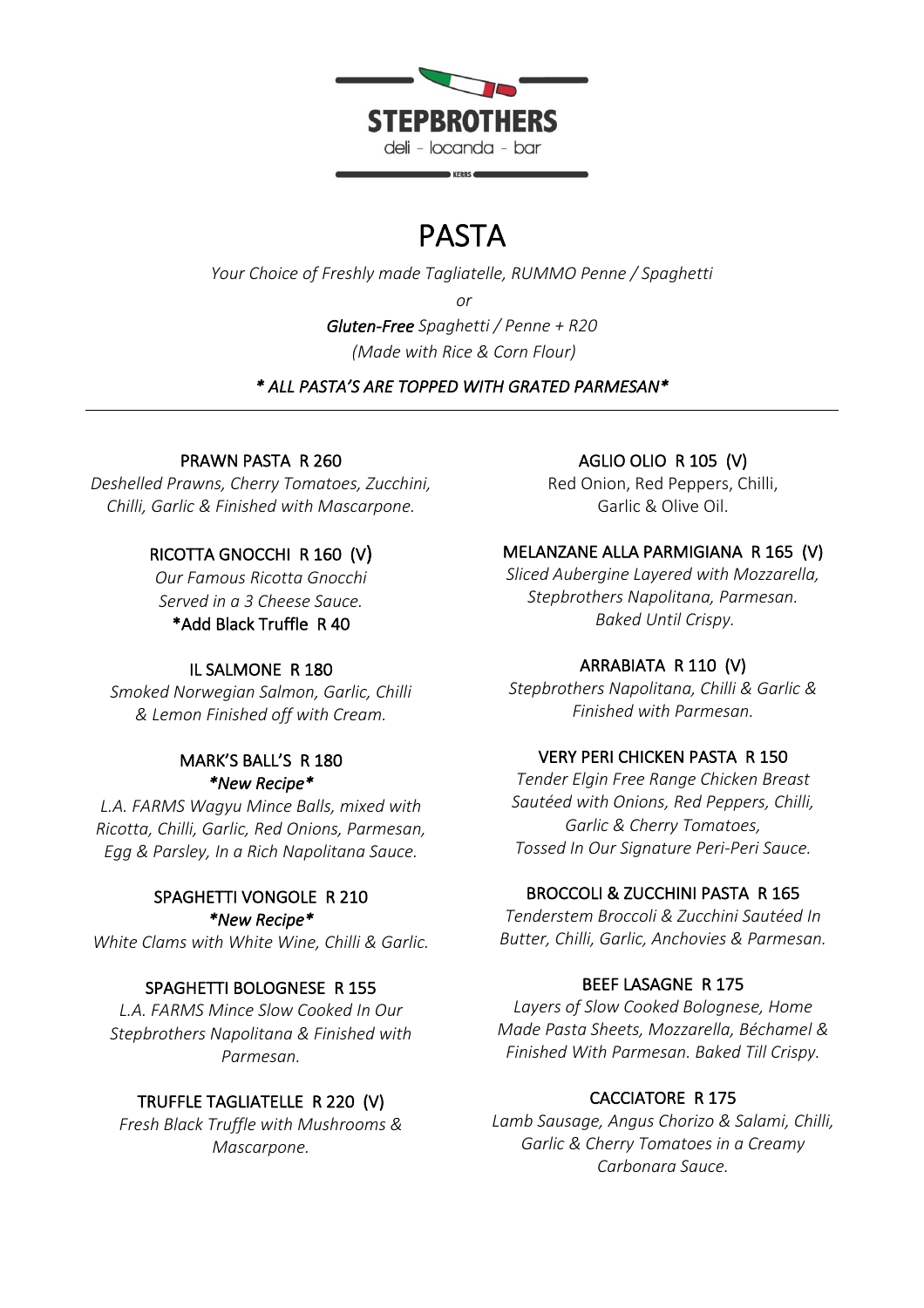

# PASTA

*Your Choice of Freshly made Tagliatelle, RUMMO Penne / Spaghetti*

*or* 

*Gluten-Free Spaghetti / Penne + R20 (Made with Rice & Corn Flour)*

*\* ALL PASTA'S ARE TOPPED WITH GRATED PARMESAN\**

## PRAWN PASTA R 260

*Deshelled Prawns, Cherry Tomatoes, Zucchini, Chilli, Garlic & Finished with Mascarpone.*

# RICOTTA GNOCCHI R 160 (V)

*Our Famous Ricotta Gnocchi Served in a 3 Cheese Sauce.*

### \*Add Black Truffle R 40

### IL SALMONE R 180

*Smoked Norwegian Salmon, Garlic, Chilli & Lemon Finished off with Cream.*

### MARK'S BALL'S R 180 *\*New Recipe\**

*L.A. FARMS Wagyu Mince Balls, mixed with Ricotta, Chilli, Garlic, Red Onions, Parmesan, Egg & Parsley, In a Rich Napolitana Sauce.*

### SPAGHETTI VONGOLE R 210 *\*New Recipe\**

*White Clams with White Wine, Chilli & Garlic.*

## SPAGHETTI BOLOGNESE R 155

*L.A. FARMS Mince Slow Cooked In Our Stepbrothers Napolitana & Finished with Parmesan.*

## TRUFFLE TAGLIATELLE R 220 (V)

*Fresh Black Truffle with Mushrooms & Mascarpone.*

### AGLIO OLIO R 105 (V)

Red Onion, Red Peppers, Chilli, Garlic & Olive Oil.

### MELANZANE ALLA PARMIGIANA R 165 (V)

*Sliced Aubergine Layered with Mozzarella, Stepbrothers Napolitana, Parmesan. Baked Until Crispy.*

## ARRABIATA R 110 (V)

*Stepbrothers Napolitana, Chilli & Garlic & Finished with Parmesan.*

### VERY PERI CHICKEN PASTA R 150

*Tender Elgin Free Range Chicken Breast Sautéed with Onions, Red Peppers, Chilli, Garlic & Cherry Tomatoes, Tossed In Our Signature Peri-Peri Sauce.*

### BROCCOLI & ZUCCHINI PASTA R 165

*Tenderstem Broccoli & Zucchini Sautéed In Butter, Chilli, Garlic, Anchovies & Parmesan.*

## BEEF LASAGNE R 175

*Layers of Slow Cooked Bolognese, Home Made Pasta Sheets, Mozzarella, Béchamel & Finished With Parmesan. Baked Till Crispy.*

## CACCIATORE R 175

*Lamb Sausage, Angus Chorizo & Salami, Chilli, Garlic & Cherry Tomatoes in a Creamy Carbonara Sauce.*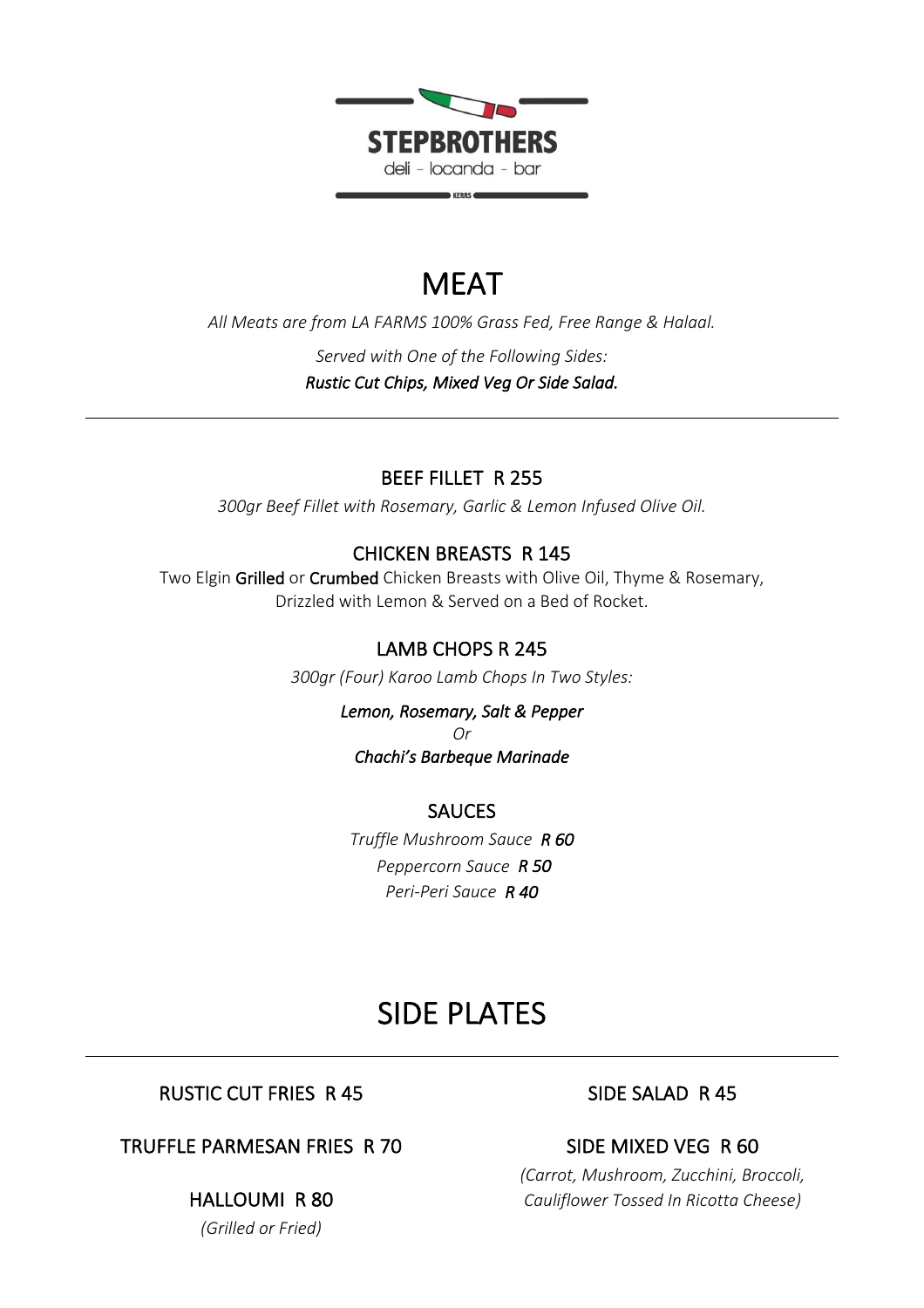

# **MFAT**

*All Meats are from LA FARMS 100% Grass Fed, Free Range & Halaal. Served with One of the Following Sides: Rustic Cut Chips, Mixed Veg Or Side Salad.*

## BEEF FILLET R 255

*300gr Beef Fillet with Rosemary, Garlic & Lemon Infused Olive Oil.*

## CHICKEN BREASTS R 145

Two Elgin Grilled or Crumbed Chicken Breasts with Olive Oil, Thyme & Rosemary, Drizzled with Lemon & Served on a Bed of Rocket.

## LAMB CHOPS R 245

*300gr (Four) Karoo Lamb Chops In Two Styles:*

*Lemon, Rosemary, Salt & Pepper Or Chachi's Barbeque Marinade* 

### SAUCES

*Truffle Mushroom Sauce R 60 Peppercorn Sauce R 50 Peri-Peri Sauce R 40* 

# SIDE PLATES

## RUSTIC CUT FRIES R 45

## TRUFFLE PARMESAN FRIES R 70

### HALLOUMI R 80

*(Grilled or Fried)*

## SIDE SALAD R 45

# SIDE MIXED VEG R 60

*(Carrot, Mushroom, Zucchini, Broccoli, Cauliflower Tossed In Ricotta Cheese)*